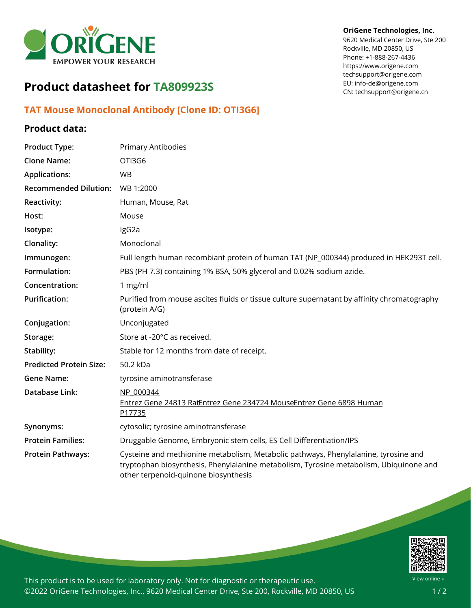

# **Product datasheet for TA809923S**

## **TAT Mouse Monoclonal Antibody [Clone ID: OTI3G6]**

### **Product data:**

#### **OriGene Technologies, Inc.**

9620 Medical Center Drive, Ste 200 Rockville, MD 20850, US Phone: +1-888-267-4436 https://www.origene.com techsupport@origene.com EU: info-de@origene.com CN: techsupport@origene.cn

| <b>Product Type:</b>           | <b>Primary Antibodies</b>                                                                                                                                                                                             |
|--------------------------------|-----------------------------------------------------------------------------------------------------------------------------------------------------------------------------------------------------------------------|
| <b>Clone Name:</b>             | OTI3G6                                                                                                                                                                                                                |
| <b>Applications:</b>           | <b>WB</b>                                                                                                                                                                                                             |
| <b>Recommended Dilution:</b>   | WB 1:2000                                                                                                                                                                                                             |
| Reactivity:                    | Human, Mouse, Rat                                                                                                                                                                                                     |
| Host:                          | Mouse                                                                                                                                                                                                                 |
| Isotype:                       | IgG2a                                                                                                                                                                                                                 |
| Clonality:                     | Monoclonal                                                                                                                                                                                                            |
| Immunogen:                     | Full length human recombiant protein of human TAT (NP_000344) produced in HEK293T cell.                                                                                                                               |
| Formulation:                   | PBS (PH 7.3) containing 1% BSA, 50% glycerol and 0.02% sodium azide.                                                                                                                                                  |
| Concentration:                 | 1 mg/ml                                                                                                                                                                                                               |
| <b>Purification:</b>           | Purified from mouse ascites fluids or tissue culture supernatant by affinity chromatography<br>(protein A/G)                                                                                                          |
| Conjugation:                   | Unconjugated                                                                                                                                                                                                          |
| Storage:                       | Store at -20°C as received.                                                                                                                                                                                           |
| Stability:                     | Stable for 12 months from date of receipt.                                                                                                                                                                            |
| <b>Predicted Protein Size:</b> | 50.2 kDa                                                                                                                                                                                                              |
| <b>Gene Name:</b>              | tyrosine aminotransferase                                                                                                                                                                                             |
| <b>Database Link:</b>          | NP 000344<br>Entrez Gene 24813 RatEntrez Gene 234724 MouseEntrez Gene 6898 Human<br>P17735                                                                                                                            |
| Synonyms:                      | cytosolic; tyrosine aminotransferase                                                                                                                                                                                  |
| <b>Protein Families:</b>       | Druggable Genome, Embryonic stem cells, ES Cell Differentiation/IPS                                                                                                                                                   |
| <b>Protein Pathways:</b>       | Cysteine and methionine metabolism, Metabolic pathways, Phenylalanine, tyrosine and<br>tryptophan biosynthesis, Phenylalanine metabolism, Tyrosine metabolism, Ubiquinone and<br>other terpenoid-quinone biosynthesis |



This product is to be used for laboratory only. Not for diagnostic or therapeutic use. ©2022 OriGene Technologies, Inc., 9620 Medical Center Drive, Ste 200, Rockville, MD 20850, US